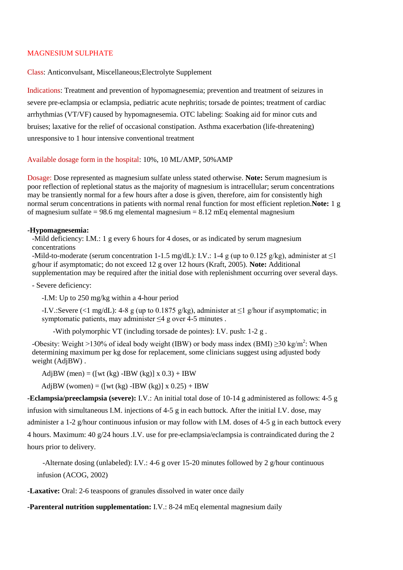## MAGNESIUM SULPHATE

Class: Anticonvulsant, Miscellaneous;Electrolyte Supplement

Indications: Treatment and prevention of hypomagnesemia; prevention and treatment of seizures in severe pre-eclampsia or eclampsia, pediatric acute nephritis; torsade de pointes; treatment of cardiac arrhythmias (VT/VF) caused by hypomagnesemia. OTC labeling: Soaking aid for minor cuts and bruises; laxative for the relief of occasional constipation. Asthma exacerbation (life-threatening) unresponsive to 1 hour intensive conventional treatment

## Available dosage form in the hospital: 10%, 10 ML/AMP, 50%AMP

Dosage: Dose represented as magnesium sulfate unless stated otherwise. **Note:** Serum magnesium is poor reflection of repletional status as the majority of magnesium is intracellular; serum concentrations may be transiently normal for a few hours after a dose is given, therefore, aim for consistently high normal serum concentrations in patients with normal renal function for most efficient repletion.**Note:** 1 g of magnesium sulfate =  $98.6$  mg elemental magnesium =  $8.12$  mEq elemental magnesium

## **-Hypomagnesemia:**

-Mild deficiency: I.M.: 1 g every 6 hours for 4 doses, or as indicated by serum magnesium concentrations

-Mild-to-moderate (serum concentration 1-1.5 mg/dL): I.V.: 1-4 g (up to 0.125 g/kg), administer at  $\leq$ 1 g/hour if asymptomatic; do not exceed 12 g over 12 hours (Kraft, 2005). **Note:** Additional supplementation may be required after the initial dose with replenishment occurring over several days.

- Severe deficiency:

-I.M: Up to 250 mg/kg within a 4-hour period

-I.V.:Severe (<1 mg/dL): 4-8 g (up to 0.1875 g/kg), administer at ≤1 g/hour if asymptomatic; in symptomatic patients, may administer  $\leq 4$  g over 4-5 minutes.

-With polymorphic VT (including torsade de pointes): I.V. push: 1-2 g .

-Obesity: Weight >130% of ideal body weight (IBW) or body mass index (BMI)  $\geq$ 30 kg/m<sup>2</sup>: When determining maximum per kg dose for replacement, some clinicians suggest using adjusted body weight (AdjBW) .

AdjBW (men) = ([wt (kg) -IBW (kg)]  $x 0.3$ ) + IBW

AdjBW (women) = ([wt (kg) -IBW (kg)] x  $0.25$ ) + IBW

**-Eclampsia/preeclampsia (severe):** I.V.: An initial total dose of 10-14 g administered as follows: 4-5 g infusion with simultaneous I.M. injections of 4-5 g in each buttock. After the initial I.V. dose, may administer a 1-2 g/hour continuous infusion or may follow with I.M. doses of 4-5 g in each buttock every 4 hours. Maximum: 40 g/24 hours .I.V. use for pre-eclampsia/eclampsia is contraindicated during the 2 hours prior to delivery.

-Alternate dosing (unlabeled): I.V.: 4-6 g over 15-20 minutes followed by 2 g/hour continuous infusion (ACOG, 2002)

**-Laxative:** Oral: 2-6 teaspoons of granules dissolved in water once daily

**-Parenteral nutrition supplementation:** I.V.: 8-24 mEq elemental magnesium daily